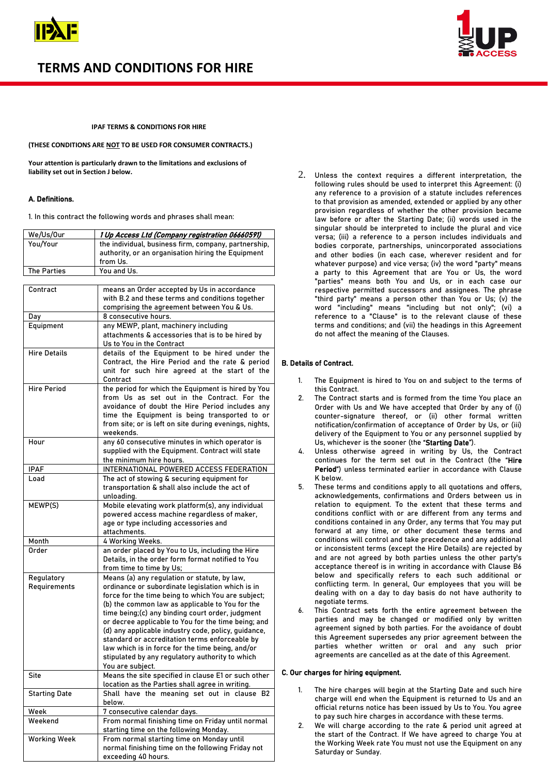

# **TERMS AND CONDITIONS FOR HIRE**



## **IPAF TERMS & CONDITIONS FOR HIRE**

**(THESE CONDITIONS ARE NOT TO BE USED FOR CONSUMER CONTRACTS.)**

**Your attention is particularly drawn to the limitations and exclusions of liability set out in Section J below.**

## A. Definitions.

1. In this contract the following words and phrases shall mean:

| We/Us/Our          | 1 Up Access Ltd (Company registration 06660591)                                                                        |
|--------------------|------------------------------------------------------------------------------------------------------------------------|
| You/Your           | the individual, business firm, company, partnership,<br>authority, or an organisation hiring the Equipment<br>from Us. |
| <b>The Parties</b> | You and Us.                                                                                                            |
|                    |                                                                                                                        |

| Contract             | means an Order accepted by Us in accordance                             |
|----------------------|-------------------------------------------------------------------------|
|                      | with B.2 and these terms and conditions together                        |
|                      | comprising the agreement between You & Us.                              |
| Day                  | 8 consecutive hours.                                                    |
| Equipment            | any MEWP, plant, machinery including                                    |
|                      | attachments & accessories that is to be hired by                        |
|                      | Us to You in the Contract                                               |
| <b>Hire Details</b>  | details of the Equipment to be hired under the                          |
|                      | Contract, the Hire Period and the rate & period                         |
|                      | unit for such hire agreed at the start of the                           |
|                      | Contract                                                                |
| <b>Hire Period</b>   | the period for which the Equipment is hired by You                      |
|                      | from Us as set out in the Contract. For the                             |
|                      | avoidance of doubt the Hire Period includes any                         |
|                      | time the Equipment is being transported to or                           |
|                      | from site; or is left on site during evenings, nights,                  |
|                      | weekends.                                                               |
| Hour                 | any 60 consecutive minutes in which operator is                         |
|                      | supplied with the Equipment. Contract will state                        |
|                      | the minimum hire hours.                                                 |
| IPAF                 | INTERNATIONAL POWERED ACCESS FEDERATION                                 |
| Load                 | The act of stowing & securing equipment for                             |
|                      | transportation & shall also include the act of                          |
|                      | unloading.                                                              |
| MEWP(S)              | Mobile elevating work platform(s), any individual                       |
|                      | powered access machine regardless of maker,                             |
|                      | age or type including accessories and                                   |
|                      | attachments.                                                            |
| Month                | 4 Working Weeks.                                                        |
| <b>Order</b>         | an order placed by You to Us, including the Hire                        |
|                      | Details, in the order form format notified to You                       |
|                      | from time to time by Us;                                                |
| Regulatory           | Means (a) any regulation or statute, by law,                            |
| Requirements         | ordinance or subordinate legislation which is in                        |
|                      | force for the time being to which You are subject;                      |
|                      | (b) the common law as applicable to You for the                         |
|                      | time being;(c) any binding court order, judgment                        |
|                      | or decree applicable to You for the time being; and                     |
|                      | (d) any applicable industry code, policy, guidance,                     |
|                      | standard or accreditation terms enforceable by                          |
|                      | law which is in force for the time being, and/or                        |
|                      |                                                                         |
|                      | stipulated by any regulatory authority to which                         |
| Site                 | You are subject.<br>Means the site specified in clause E1 or such other |
|                      | location as the Parties shall agree in writing.                         |
|                      | Shall have the meaning set out in clause B2                             |
| <b>Starting Date</b> |                                                                         |
|                      | below.                                                                  |
| Week<br>Weekend      | 7 consecutive calendar days.                                            |
|                      | From normal finishing time on Friday until normal                       |
|                      | starting time on the following Monday.                                  |
| <b>Working Week</b>  | From normal starting time on Monday until                               |
|                      | normal finishing time on the following Friday not                       |
|                      | exceeding 40 hours.                                                     |

2. Unless the context requires a different interpretation, the following rules should be used to interpret this Agreement: (i) any reference to a provision of a statute includes references to that provision as amended, extended or applied by any other provision regardless of whether the other provision became law before or after the Starting Date; (ii) words used in the singular should be interpreted to include the plural and vice versa; (iii) a reference to a person includes individuals and bodies corporate, partnerships, unincorporated associations and other bodies (in each case, wherever resident and for whatever purpose) and vice versa; (iv) the word "party" means a party to this Agreement that are You or Us, the word "parties" means both You and Us, or in each case our respective permitted successors and assignees. The phrase "third party" means a person other than You or Us; (v) the word "including" means "including but not only"; (vi) a reference to a "Clause" is to the relevant clause of these terms and conditions; and (vii) the headings in this Agreement do not affect the meaning of the Clauses.

## B. Details of Contract.

- 1. The Equipment is hired to You on and subject to the terms of this Contract.
- The Contract starts and is formed from the time You place an Order with Us and We have accepted that Order by any of (i) counter-signature thereof, or (ii) other formal written notification/confirmation of acceptance of Order by Us, or (iii) delivery of the Equipment to You or any personnel supplied by Us, whichever is the sooner (the "Starting Date").
- 4. Unless otherwise agreed in writing by Us, the Contract continues for the term set out in the Contract (the "Hire Period") unless terminated earlier in accordance with Clause K below.
- 5. These terms and conditions apply to all quotations and offers, acknowledgements, confirmations and Orders between us in relation to equipment. To the extent that these terms and conditions conflict with or are different from any terms and conditions contained in any Order, any terms that You may put forward at any time, or other document these terms and conditions will control and take precedence and any additional or inconsistent terms (except the Hire Details) are rejected by and are not agreed by both parties unless the other party's acceptance thereof is in writing in accordance with Clause B6 below and specifically refers to each such additional or conflicting term. In general, Our employees that you will be dealing with on a day to day basis do not have authority to negotiate terms.
- 6. This Contract sets forth the entire agreement between the parties and may be changed or modified only by written agreement signed by both parties. For the avoidance of doubt this Agreement supersedes any prior agreement between the parties whether written or oral and any such prior agreements are cancelled as at the date of this Agreement.

#### C. Our charges for hiring equipment.

- The hire charges will begin at the Starting Date and such hire charge will end when the Equipment is returned to Us and an official returns notice has been issued by Us to You. You agree to pay such hire charges in accordance with these terms.
- 2. We will charge according to the rate & period unit agreed at the start of the Contract. If We have agreed to charge You at the Working Week rate You must not use the Equipment on any Saturday or Sunday.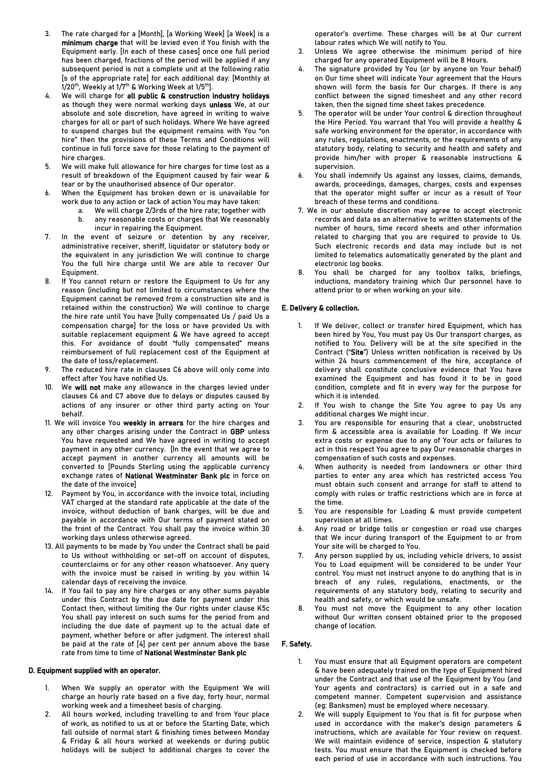- 3. The rate charged for a [Month], [a Working Week] [a Week] is a minimum charge that will be levied even if You finish with the Equipment early. [In each of these cases] once one full period has been charged, fractions of the period will be applied if any subsequent period is not a complete unit at the following ratio [s of the appropriate rate] for each additional day: [Monthly at  $1/20$ <sup>th</sup>, Weekly at  $1/7$ <sup>th</sup> & Working Week at  $1/5$ <sup>th</sup>].
- We will charge for all public & construction industry holidays as though they were normal working days unless We, at our absolute and sole discretion, have agreed in writing to waive charges for all or part of such holidays. Where We have agreed to suspend charges but the equipment remains with You "on hire" then the provisions of these Terms and Conditions will continue in full force save for those relating to the payment of hire charges.
- 5. We will make full allowance for hire charges for time lost as a result of breakdown of the Equipment caused by fair wear & tear or by the unauthorised absence of Our operator.
- 6. When the Equipment has broken down or is unavailable for work due to any action or lack of action You may have taken:
	- a. We will charge 2/3rds of the hire rate; together with
		- b. any reasonable costs or charges that We reasonably incur in repairing the Equipment.
- 7. In the event of seizure or detention by any receiver, administrative receiver, sheriff, liquidator or statutory body or the equivalent in any jurisdiction We will continue to charge You the full hire charge until We are able to recover Our Equipment.
- 8. If You cannot return or restore the Equipment to Us for any reason (including but not limited to circumstances where the Equipment cannot be removed from a construction site and is retained within the construction) We will continue to charge the hire rate until You have [fully compensated Us / paid Us a compensation charge] for the loss or have provided Us with suitable replacement equipment & We have agreed to accept this. For avoidance of doubt "fully compensated" means reimbursement of full replacement cost of the Equipment at the date of loss/replacement.
- The reduced hire rate in clauses C6 above will only come into effect after You have notified Us.
- We will not make any allowance in the charges levied under clauses C6 and C7 above due to delays or disputes caused by actions of any insurer or other third party acting on Your behalf.
- 11. We will invoice You weekly in arrears for the hire charges and any other charges arising under the Contract in GBP unless You have requested and We have agreed in writing to accept payment in any other currency. [In the event that we agree to accept payment in another currency all amounts will be converted to [Pounds Sterling using the applicable currency exchange rates of National Westminster Bank plc in force on the date of the invoice]
- 12. Payment by You, in accordance with the invoice total, including VAT charged at the standard rate applicable at the date of the invoice, without deduction of bank charges, will be due and payable in accordance with Our terms of payment stated on the front of the Contract. You shall pay the invoice within 30 working days unless otherwise agreed.
- 13. All payments to be made by You under the Contract shall be paid to Us without withholding or set-off on account of disputes, counterclaims or for any other reason whatsoever. Any query with the invoice must be raised in writing by you within 14 calendar days of receiving the invoice.
- 14. If You fail to pay any hire charges or any other sums payable under this Contract by the due date for payment under this Contact then, without limiting the Our rights under clause K5c You shall pay interest on such sums for the period from and including the due date of payment up to the actual date of payment, whether before or after judgment. The interest shall be paid at the rate of [4] per cent per annum above the base rate from time to time of National Westminster Bank plc

#### D. Equipment supplied with an operator.

- 1. When We supply an operator with the Equipment We will charge an hourly rate based on a five day, forty hour, normal working week and a timesheet basis of charging.
- 2. All hours worked, including travelling to and from Your place of work, as notified to us at or before the Starting Date, which fall outside of normal start & finishing times between Monday & Friday & all hours worked at weekends or during public holidays will be subject to additional charges to cover the

operator's overtime. These charges will be at Our current labour rates which We will notify to You.

- 3. Unless We agree otherwise the minimum period of hire charged for any operated Equipment will be 8 Hours.
- 4. The signature provided by You (or by anyone on Your behalf) on Our time sheet will indicate Your agreement that the Hours shown will form the basis for Our charges. If there is any conflict between the signed timesheet and any other record taken, then the signed time sheet takes precedence.
- The operator will be under Your control & direction throughout the Hire Period. You warrant that You will provide a healthy & safe working environment for the operator, in accordance with any rules, regulations, enactments, or the requirements of any statutory body, relating to security and health and safety and provide him/her with proper & reasonable instructions & supervision.
- You shall indemnify Us against any losses, claims, demands, awards, proceedings, damages, charges, costs and expenses that the operator might suffer or incur as a result of Your breach of these terms and conditions.
- 7. We in our absolute discretion may agree to accept electronic records and data as an alternative to written statements of the number of hours, time record sheets and other information related to charging that you are required to provide to Us. Such electronic records and data may include but is not limited to telematics automatically generated by the plant and electronic log books.
- 8. You shall be charged for any toolbox talks, briefings, inductions, mandatory training which Our personnel have to attend prior to or when working on your site.

## E. Delivery & collection.

- If We deliver, collect or transfer hired Equipment, which has been hired by You, You must pay Us Our transport charges, as notified to You. Delivery will be at the site specified in the Contract ("Site") Unless written notification is received by Us within 24 hours commencement of the hire, acceptance of delivery shall constitute conclusive evidence that You have examined the Equipment and has found it to be in good condition, complete and fit in every way for the purpose for which it is intended.
- If You wish to change the Site You agree to pay Us any additional charges We might incur.
- You are responsible for ensuring that a clear, unobstructed firm & accessible area is available for Loading. If We incur extra costs or expense due to any of Your acts or failures to act in this respect You agree to pay Our reasonable charges in compensation of such costs and expenses.
- When authority is needed from landowners or other third parties to enter any area which has restricted access You must obtain such consent and arrange for staff to attend to comply with rules or traffic restrictions which are in force at the time.
- You are responsible for Loading & must provide competent supervision at all times.
- Any road or bridge tolls or congestion or road use charges that We incur during transport of the Equipment to or from Your site will be charged to You.
- Any person supplied by us, including vehicle drivers, to assist You to Load equipment will be considered to be under Your control. You must not instruct anyone to do anything that is in breach of any rules, regulations, enactments, or the requirements of any statutory body, relating to security and health and safety, or which would be unsafe.
- 8. You must not move the Equipment to any other location without Our written consent obtained prior to the proposed change of location.

## F. Safety.

- 1. You must ensure that all Equipment operators are competent & have been adequately trained on the type of Equipment hired under the Contract and that use of the Equipment by You (and Your agents and contractors) is carried out in a safe and competent manner. Competent supervision and assistance (eg: Banksmen) must be employed where necessary.
- We will supply Equipment to You that is fit for purpose when used in accordance with the maker's design parameters & instructions, which are available for Your review on request. We will maintain evidence of service, inspection & statutory tests. You must ensure that the Equipment is checked before each period of use in accordance with such instructions. You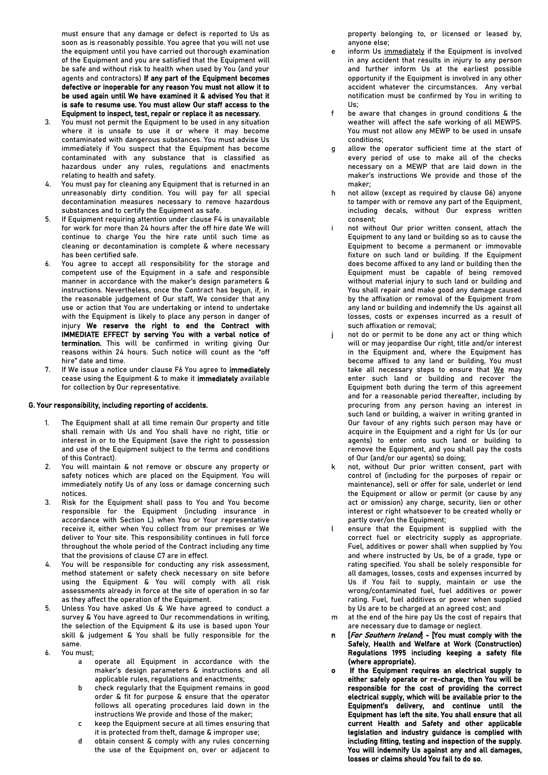must ensure that any damage or defect is reported to Us as soon as is reasonably possible. You agree that you will not use the equipment until you have carried out thorough examination of the Equipment and you are satisfied that the Equipment will be safe and without risk to health when used by You (and your agents and contractors) If any part of the Equipment becomes defective or inoperable for any reason You must not allow it to be used again until We have examined it & advised You that it is safe to resume use. You must allow Our staff access to the Equipment to inspect, test, repair or replace it as necessary.

- 3. You must not permit the Equipment to be used in any situation where it is unsafe to use it or where it may become contaminated with dangerous substances. You must advise Us immediately if You suspect that the Equipment has become contaminated with any substance that is classified as hazardous under any rules, regulations and enactments relating to health and safety.
- 4. You must pay for cleaning any Equipment that is returned in an unreasonably dirty condition. You will pay for all special decontamination measures necessary to remove hazardous substances and to certify the Equipment as safe.
- 5. If Equipment requiring attention under clause F4 is unavailable for work for more than 24 hours after the off hire date We will continue to charge You the hire rate until such time as cleaning or decontamination is complete & where necessary has been certified safe.
- You agree to accept all responsibility for the storage and competent use of the Equipment in a safe and responsible manner in accordance with the maker's design parameters & instructions. Nevertheless, once the Contract has begun, if, in the reasonable judgement of Our staff, We consider that any use or action that You are undertaking or intend to undertake with the Equipment is likely to place any person in danger of injury We reserve the right to end the Contract with IMMEDIATE EFFECT by serving You with a verbal notice of termination. This will be confirmed in writing giving Our reasons within 24 hours. Such notice will count as the "off hire" date and time.
- 7. If We issue a notice under clause F6 You agree to *immediately* cease using the Equipment & to make it immediately available for collection by Our representative.

#### G. Your responsibility, including reporting of accidents.

- 1. The Equipment shall at all time remain Our property and title shall remain with Us and You shall have no right, title or interest in or to the Equipment (save the right to possession and use of the Equipment subject to the terms and conditions of this Contract).
- 2. You will maintain & not remove or obscure any property or safety notices which are placed on the Equipment. You will immediately notify Us of any loss or damage concerning such notices.
- 3. Risk for the Equipment shall pass to You and You become responsible for the Equipment (including insurance in accordance with Section L) when You or Your representative receive it, either when You collect from our premises or We deliver to Your site. This responsibility continues in full force throughout the whole period of the Contract including any time that the provisions of clause C7 are in effect.
- 4. You will be responsible for conducting any risk assessment, method statement or safety check necessary on site before using the Equipment & You will comply with all risk assessments already in force at the site of operation in so far as they affect the operation of the Equipment.
- 5. Unless You have asked Us & We have agreed to conduct a survey & You have agreed to Our recommendations in writing, the selection of the Equipment & its use is based upon Your skill & judgement & You shall be fully responsible for the same.
- 6. You must;
	- a operate all Equipment in accordance with the maker's design parameters & instructions and all applicable rules, regulations and enactments;
	- b check regularly that the Equipment remains in good order & fit for purpose & ensure that the operator follows all operating procedures laid down in the instructions We provide and those of the maker;
	- c keep the Equipment secure at all times ensuring that it is protected from theft, damage & improper use;
	- obtain consent & comply with any rules concerning the use of the Equipment on, over or adjacent to

property belonging to, or licensed or leased by, anyone else;

- e inform Us immediately if the Equipment is involved in any accident that results in injury to any person and further inform Us at the earliest possible opportunity if the Equipment is involved in any other accident whatever the circumstances. Any verbal notification must be confirmed by You in writing to Us;
- f be aware that changes in ground conditions & the weather will affect the safe working of all MEWPS. You must not allow any MEWP to be used in unsafe conditions;
- g allow the operator sufficient time at the start of every period of use to make all of the checks necessary on a MEWP that are laid down in the maker's instructions We provide and those of the maker;
- h not allow (except as required by clause G6) anyone to tamper with or remove any part of the Equipment, including decals, without Our express written consent;
- i not without Our prior written consent, attach the Equipment to any land or building so as to cause the Equipment to become a permanent or immovable fixture on such land or building. If the Equipment does become affixed to any land or building then the Equipment must be capable of being removed without material injury to such land or building and You shall repair and make good any damage caused by the affixation or removal of the Equipment from any land or building and indemnify the Us against all losses, costs or expenses incurred as a result of such affixation or removal;
- j not do or permit to be done any act or thing which will or may jeopardise Our right, title and/or interest in the Equipment and, where the Equipment has become affixed to any land or building, You must take all necessary steps to ensure that We may enter such land or building and recover the Equipment both during the term of this agreement and for a reasonable period thereafter, including by procuring from any person having an interest in such land or building, a waiver in writing granted in Our favour of any rights such person may have or acquire in the Equipment and a right for Us (or our agents) to enter onto such land or building to remove the Equipment, and you shall pay the costs of Our (and/or our agents) so doing;
- k not, without Our prior written consent, part with control of (including for the purposes of repair or maintenance), sell or offer for sale, underlet or lend the Equipment or allow or permit (or cause by any act or omission) any charge, security, lien or other interest or right whatsoever to be created wholly or partly over/on the Equipment;
- l ensure that the Equipment is supplied with the correct fuel or electricity supply as appropriate. Fuel, additives or power shall when supplied by You and where instructed by Us, be of a grade, type or rating specified. You shall be solely responsible for all damages, losses, costs and expenses incurred by Us if You fail to supply, maintain or use the wrong/contaminated fuel, fuel additives or power rating. Fuel, fuel additives or power when supplied by Us are to be charged at an agreed cost; and
- at the end of the hire pay Us the cost of repairs that are necessary due to damage or neglect.
- n [For Southern Ireland] [You must comply with the Safely, Health and Welfare at Work (Construction) Regulations 1995 including keeping a safety file (where appropriate).
- o If the Equipment requires an electrical supply to either safely operate or re-charge, then You will be responsible for the cost of providing the correct electrical supply, which will be available prior to the Equipment's delivery, and continue until the Equipment has left the site. You shall ensure that all current Health and Safety and other applicable legislation and industry guidance is complied with including fitting, testing and inspection of the supply. You will indemnify Us against any and all damages, losses or claims should You fail to do so.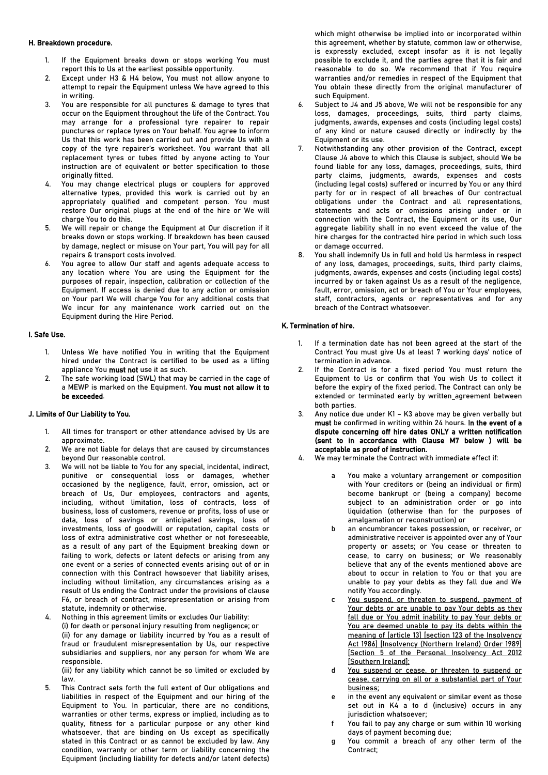## H. Breakdown procedure.

- 1. If the Equipment breaks down or stops working You must report this to Us at the earliest possible opportunity.
- 2. Except under H3 & H4 below, You must not allow anyone to attempt to repair the Equipment unless We have agreed to this in writing.
- 3. You are responsible for all punctures & damage to tyres that occur on the Equipment throughout the life of the Contract. You may arrange for a professional tyre repairer to repair punctures or replace tyres on Your behalf. You agree to inform Us that this work has been carried out and provide Us with a copy of the tyre repairer's worksheet. You warrant that all replacement tyres or tubes fitted by anyone acting to Your instruction are of equivalent or better specification to those originally fitted.
- 4. You may change electrical plugs or couplers for approved alternative types, provided this work is carried out by an appropriately qualified and competent person. You must restore Our original plugs at the end of the hire or We will charge You to do this.
- 5. We will repair or change the Equipment at Our discretion if it breaks down or stops working. If breakdown has been caused by damage, neglect or misuse on Your part, You will pay for all repairs & transport costs involved.
- You agree to allow Our staff and agents adequate access to any location where You are using the Equipment for the purposes of repair, inspection, calibration or collection of the Equipment. If access is denied due to any action or omission on Your part We will charge You for any additional costs that We incur for any maintenance work carried out on the Equipment during the Hire Period.

## I. Safe Use.

- 1. Unless We have notified You in writing that the Equipment hired under the Contract is certified to be used as a lifting appliance You must not use it as such.
- 2. The safe working load (SWL) that may be carried in the cage of a MEWP is marked on the Equipment. You must not allow it to be exceeded.

## J. Limits of Our Liability to You.

- All times for transport or other attendance advised by Us are annroximate
- 2. We are not liable for delays that are caused by circumstances beyond Our reasonable control.
- 3. We will not be liable to You for any special, incidental, indirect, punitive or consequential loss or damages, whether occasioned by the negligence, fault, error, omission, act or breach of Us, Our employees, contractors and agents, including, without limitation, loss of contracts, loss of business, loss of customers, revenue or profits, loss of use or data, loss of savings or anticipated savings, loss of investments, loss of goodwill or reputation, capital costs or loss of extra administrative cost whether or not foreseeable, as a result of any part of the Equipment breaking down or failing to work, defects or latent defects or arising from any one event or a series of connected events arising out of or in connection with this Contract howsoever that liability arises, including without limitation, any circumstances arising as a result of Us ending the Contract under the provisions of clause F6, or breach of contract, misrepresentation or arising from statute, indemnity or otherwise.
- 4. Nothing in this agreement limits or excludes Our liability: (i) for death or personal injury resulting from negligence; or (ii) for any damage or liability incurred by You as a result of fraud or fraudulent misrepresentation by Us, our respective subsidiaries and suppliers, nor any person for whom We are responsible.

(iii) for any liability which cannot be so limited or excluded by law.

5. This Contract sets forth the full extent of Our obligations and liabilities in respect of the Equipment and our hiring of the Equipment to You. In particular, there are no conditions, warranties or other terms, express or implied, including as to quality, fitness for a particular purpose or any other kind whatsoever, that are binding on Us except as specifically stated in this Contract or as cannot be excluded by law. Any condition, warranty or other term or liability concerning the Equipment (including liability for defects and/or latent defects)

which might otherwise be implied into or incorporated within this agreement, whether by statute, common law or otherwise, is expressly excluded, except insofar as it is not legally possible to exclude it, and the parties agree that it is fair and reasonable to do so. We recommend that if You require warranties and/or remedies in respect of the Equipment that You obtain these directly from the original manufacturer of such Equipment.

- 6. Subject to J4 and J5 above, We will not be responsible for any loss, damages, proceedings, suits, third party claims, judgments, awards, expenses and costs (including legal costs) of any kind or nature caused directly or indirectly by the Equipment or its use.
- 7. Notwithstanding any other provision of the Contract, except Clause J4 above to which this Clause is subject, should We be found liable for any loss, damages, proceedings, suits, third party claims, judgments, awards, expenses and costs (including legal costs) suffered or incurred by You or any third party for or in respect of all breaches of Our contractual obligations under the Contract and all representations, statements and acts or omissions arising under or in connection with the Contract, the Equipment or its use, Our aggregate liability shall in no event exceed the value of the hire charges for the contracted hire period in which such loss or damage occurred.
- 8. You shall indemnify Us in full and hold Us harmless in respect of any loss, damages, proceedings, suits, third party claims, judgments, awards, expenses and costs (including legal costs) incurred by or taken against Us as a result of the negligence, fault, error, omission, act or breach of You or Your employees, staff, contractors, agents or representatives and for any breach of the Contract whatsoever.

## K. Termination of hire.

- 1. If a termination date has not been agreed at the start of the Contract You must give Us at least 7 working days' notice of termination in advance.
- If the Contract is for a fixed period You must return the Equipment to Us or confirm that You wish Us to collect it before the expiry of the fixed period. The Contract can only be extended or terminated early by written agreement between both parties.
- 3. Any notice due under K1 K3 above may be given verbally but must be confirmed in writing within 24 hours. In the event of a dispute concerning off hire dates ONLY a written notification (sent to in accordance with Clause M7 below ) will be acceptable as proof of instruction.
- 4. We may terminate the Contract with immediate effect if:
	- a You make a voluntary arrangement or composition with Your creditors or (being an individual or firm) become bankrupt or (being a company) become subject to an administration order or go into liquidation (otherwise than for the purposes of amalgamation or reconstruction) or
	- b an encumbrancer takes possession, or receiver, or administrative receiver is appointed over any of Your property or assets; or You cease or threaten to cease, to carry on business; or We reasonably believe that any of the events mentioned above are about to occur in relation to You or that you are unable to pay your debts as they fall due and We notify You accordingly.
	- c You suspend, or threaten to suspend, payment of Your debts or are unable to pay Your debts as they fall due or You admit inability to pay Your debts or You are deemed unable to pay its debts within the meaning of [article 13] [section 123 of the Insolvency Act 1986] [Insolvency (Northern Ireland) Order 1989] [Section 5 of the Personal Insolvency Act 2012 [Southern Ireland];
	- d You suspend or cease, or threaten to suspend or cease, carrying on all or a substantial part of Your business;
	- e in the event any equivalent or similar event as those set out in K4 a to d (inclusive) occurs in any jurisdiction whatsoever;
	- f You fail to pay any charge or sum within 10 working days of payment becoming due;
	- g You commit a breach of any other term of the Contract;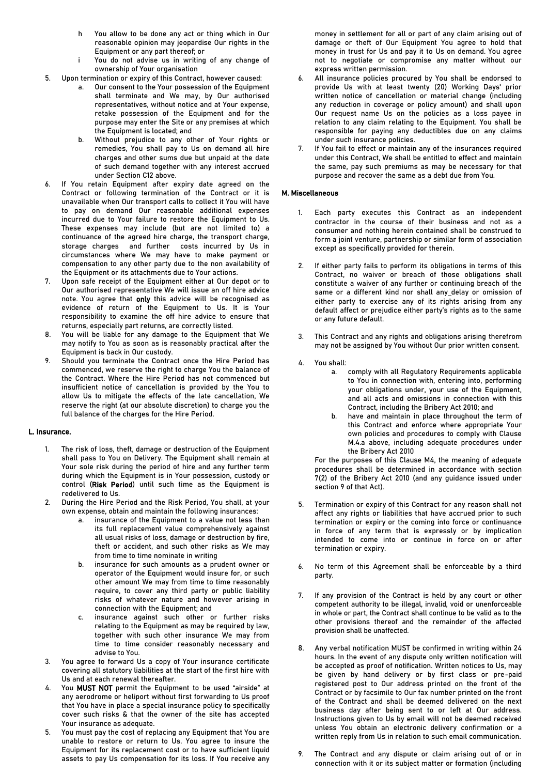- h You allow to be done any act or thing which in Our reasonable opinion may jeopardise Our rights in the Equipment or any part thereof; or
- i You do not advise us in writing of any change of ownership of Your organisation
- 5. Upon termination or expiry of this Contract, however caused:
	- Our consent to the Your possession of the Equipment shall terminate and We may, by Our authorised representatives, without notice and at Your expense, retake possession of the Equipment and for the purpose may enter the Site or any premises at which the Equipment is located; and
	- b. Without prejudice to any other of Your rights or remedies, You shall pay to Us on demand all hire charges and other sums due but unpaid at the date of such demand together with any interest accrued under Section C12 above.
- 6. If You retain Equipment after expiry date agreed on the Contract or following termination of the Contract or it is unavailable when Our transport calls to collect it You will have to pay on demand Our reasonable additional expenses incurred due to Your failure to restore the Equipment to Us. These expenses may include (but are not limited to) a continuance of the agreed hire charge, the transport charge, storage charges and further costs incurred by Us in circumstances where We may have to make payment or compensation to any other party due to the non availability of the Equipment or its attachments due to Your actions.
- 7. Upon safe receipt of the Equipment either at Our depot or to Our authorised representative We will issue an off hire advice note. You agree that only this advice will be recognised as evidence of return of the Equipment to Us. It is Your responsibility to examine the off hire advice to ensure that returns, especially part returns, are correctly listed.
- 8. You will be liable for any damage to the Equipment that We may notify to You as soon as is reasonably practical after the Equipment is back in Our custody.
- 9. Should you terminate the Contract once the Hire Period has commenced, we reserve the right to charge You the balance of the Contract. Where the Hire Period has not commenced but insufficient notice of cancellation is provided by the You to allow Us to mitigate the effects of the late cancellation, We reserve the right (at our absolute discretion) to charge you the full balance of the charges for the Hire Period.

## L. Insurance.

- 1. The risk of loss, theft, damage or destruction of the Equipment shall pass to You on Delivery. The Equipment shall remain at Your sole risk during the period of hire and any further term during which the Equipment is in Your possession, custody or control (Risk Period) until such time as the Equipment is redelivered to Us.
- 2. During the Hire Period and the Risk Period, You shall, at your own expense, obtain and maintain the following insurances:
	- a. insurance of the Equipment to a value not less than its full replacement value comprehensively against all usual risks of loss, damage or destruction by fire, theft or accident, and such other risks as We may from time to time nominate in writing
	- b. insurance for such amounts as a prudent owner or operator of the Equipment would insure for, or such other amount We may from time to time reasonably require, to cover any third party or public liability risks of whatever nature and however arising in connection with the Equipment; and
	- c. insurance against such other or further risks relating to the Equipment as may be required by law, together with such other insurance We may from time to time consider reasonably necessary and advise to You.
- 3. You agree to forward Us a copy of Your insurance certificate covering all statutory liabilities at the start of the first hire with Us and at each renewal thereafter.
- 4. You MUST NOT permit the Equipment to be used "airside" at any aerodrome or heliport without first forwarding to Us proof that You have in place a special insurance policy to specifically cover such risks & that the owner of the site has accepted Your insurance as adequate.
- 5. You must pay the cost of replacing any Equipment that You are unable to restore or return to Us. You agree to insure the Equipment for its replacement cost or to have sufficient liquid assets to pay Us compensation for its loss. If You receive any

money in settlement for all or part of any claim arising out of damage or theft of Our Equipment You agree to hold that money in trust for Us and pay it to Us on demand. You agree not to negotiate or compromise any matter without our express written permission.

- 6. All insurance policies procured by You shall be endorsed to provide Us with at least twenty (20) Working Days' prior written notice of cancellation or material change (including any reduction in coverage or policy amount) and shall upon Our request name Us on the policies as a loss payee in relation to any claim relating to the Equipment. You shall be responsible for paying any deductibles due on any claims under such insurance policies.
- If You fail to effect or maintain any of the insurances required under this Contract, We shall be entitled to effect and maintain the same, pay such premiums as may be necessary for that purpose and recover the same as a debt due from You.

## M. Miscellaneous

- 1. Each party executes this Contract as an independent contractor in the course of their business and not as a consumer and nothing herein contained shall be construed to form a joint venture, partnership or similar form of association except as specifically provided for therein.
- If either party fails to perform its obligations in terms of this Contract, no waiver or breach of those obligations shall constitute a waiver of any further or continuing breach of the same or a different kind nor shall any delay or omission of either party to exercise any of its rights arising from any default affect or prejudice either party's rights as to the same or any future default.
- 3. This Contract and any rights and obligations arising therefrom may not be assigned by You without Our prior written consent.
- 4. You shall:
	- a. comply with all Regulatory Requirements applicable to You in connection with, entering into, performing your obligations under, your use of the Equipment, and all acts and omissions in connection with this Contract, including the Bribery Act 2010; and
	- b. have and maintain in place throughout the term of this Contract and enforce where appropriate Your own policies and procedures to comply with Clause M.4.a above, including adequate procedures under the Bribery Act 2010

For the purposes of this Clause M4, the meaning of adequate procedures shall be determined in accordance with section 7(2) of the Bribery Act 2010 (and any guidance issued under section 9 of that Act).

- 5. Termination or expiry of this Contract for any reason shall not affect any rights or liabilities that have accrued prior to such termination or expiry or the coming into force or continuance in force of any term that is expressly or by implication intended to come into or continue in force on or after termination or expiry.
- 6. No term of this Agreement shall be enforceable by a third party.
- 7. If any provision of the Contract is held by any court or other competent authority to be illegal, invalid, void or unenforceable in whole or part, the Contract shall continue to be valid as to the other provisions thereof and the remainder of the affected provision shall be unaffected.
- 8. Any verbal notification MUST be confirmed in writing within 24 hours. In the event of any dispute only written notification will be accepted as proof of notification. Written notices to Us, may be given by hand delivery or by first class or pre-paid registered post to Our address printed on the front of the Contract or by facsimile to Our fax number printed on the front of the Contract and shall be deemed delivered on the next business day after being sent to or left at Our address. Instructions given to Us by email will not be deemed received unless You obtain an electronic delivery confirmation or a written reply from Us in relation to such email communication.
- The Contract and any dispute or claim arising out of or in connection with it or its subject matter or formation (including